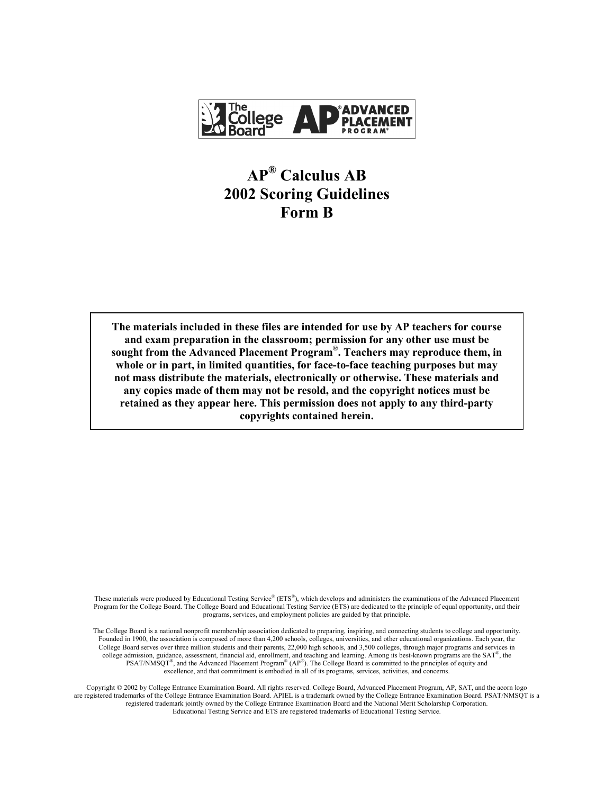

# **AP® Calculus AB 2002 Scoring Guidelines Form B**

**The materials included in these files are intended for use by AP teachers for course and exam preparation in the classroom; permission for any other use must be sought from the Advanced Placement Program®. Teachers may reproduce them, in whole or in part, in limited quantities, for face-to-face teaching purposes but may not mass distribute the materials, electronically or otherwise. These materials and any copies made of them may not be resold, and the copyright notices must be retained as they appear here. This permission does not apply to any third-party copyrights contained herein.** 

These materials were produced by Educational Testing Service® (ETS®), which develops and administers the examinations of the Advanced Placement Program for the College Board. The College Board and Educational Testing Service (ETS) are dedicated to the principle of equal opportunity, and their programs, services, and employment policies are guided by that principle.

The College Board is a national nonprofit membership association dedicated to preparing, inspiring, and connecting students to college and opportunity. Founded in 1900, the association is composed of more than 4,200 schools, colleges, universities, and other educational organizations. Each year, the College Board serves over three million students and their parents, 22,000 high schools, and 3,500 colleges, through major programs and services in college admission, guidance, assessment, financial aid, enrollment, and teaching and learning. Among its best-known programs are the SAT®, the PSAT/NMSQT<sup>®</sup>, and the Advanced Placement Program<sup>®</sup> (AP<sup>®</sup>). The College Board is committed to the principles of equity and excellence, and that commitment is embodied in all of its programs, services, activities, and concerns.

Copyright © 2002 by College Entrance Examination Board. All rights reserved. College Board, Advanced Placement Program, AP, SAT, and the acorn logo are registered trademarks of the College Entrance Examination Board. APIEL is a trademark owned by the College Entrance Examination Board. PSAT/NMSQT is a registered trademark jointly owned by the College Entrance Examination Board and the National Merit Scholarship Corporation. Educational Testing Service and ETS are registered trademarks of Educational Testing Service.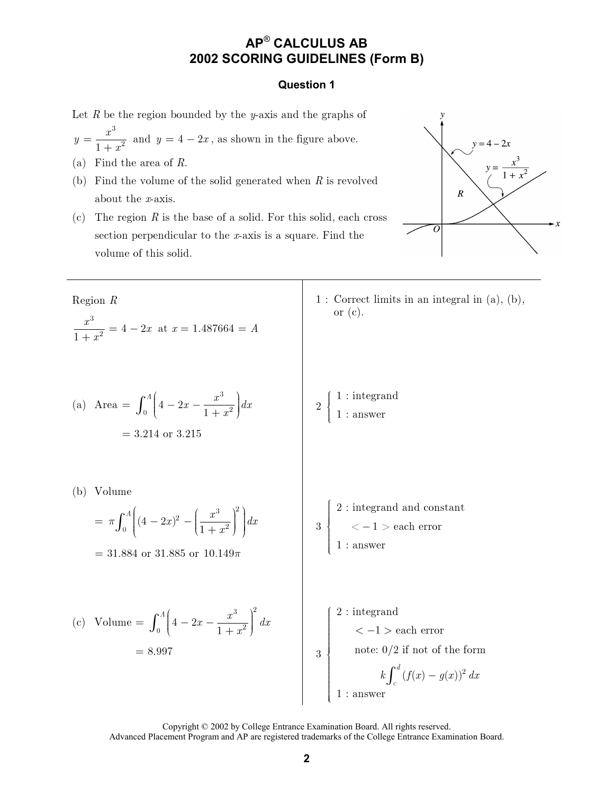# **AP**® **CALCULUS AB 2002 SCORING GUIDELINES (Form B)**

#### **Question 1**

Let R be the region bounded by the y-axis and the graphs of

- 3  $\overline{1+x^2}$  $y=\frac{x}{1+x}$  $=\frac{x}{1+x^2}$  and  $y=4-2x$ , as shown in the figure above.
- (a) Find the area of  $R$ .
- (b) Find the volume of the solid generated when  $R$  is revolved about the  $x$ -axis.
- (c) The region  $R$  is the base of a solid. For this solid, each cross section perpendicular to the  $x$ -axis is a square. Find the volume of this solid.



 $\mathrm{Region}\;R$ 3  $\frac{x}{1+x^2} = 4-2$  $\frac{x^3}{+x^2} = 4 - 2x$  at  $x = 1.487664 = A$ 

(a) Area = 
$$
\int_0^A \left(4 - 2x - \frac{x^3}{1 + x^2}\right) dx
$$
  
= 3.214 or 3.215

 $1:$  Correct limits in an integral in  $(a)$ ,  $(b)$ , or (c).

,  $1:$  integrand  $\mathbf{1}$  $: a$ nswer  $\int$  $\int$  $\left\{ \right\}$  $\overline{\phantom{a}}$  $\mathfrak{t}$  $\mathfrak{l}$ 

(b) Volume

$$
= \pi \int_0^A \left( (4 - 2x)^2 - \left( \frac{x^3}{1 + x^2} \right)^2 \right) dx
$$

 $= 31.884$  or 31.885 or 10.149 $\pi$ 

3 2: integrand and constant  $\left\{ \quad<-1>{\rm each\ error} \right\}$  $1:$  answer  $\overline{1}$  $\overline{\phantom{a}}$  $\overline{\phantom{a}}$  $\overline{\phantom{a}}$  $\overline{\phantom{a}}$  $\overline{\phantom{a}}$  $\overline{\phantom{a}}$  $\overline{\phantom{a}}$  $\overline{\phantom{a}}$  $\overline{\mathcal{L}}$ 

(c) Volume = 
$$
\int_0^A \left(4 - 2x - \frac{x^3}{1 + x^2}\right)^2 dx
$$
  
= 8.997

 $\overline{2}$ 2: integrand  $\vert \hspace{0.5cm} < -1$  > each error note:  $0/2$  if not of the form  $k \int (f(x) - g(x))$  $1:$  answer  $\overline{d}$  $k \int_{c}^{a} (f(x) - g(x))^{2} dx$  $\sqrt{ }$  $\overline{\phantom{a}}$  $\overline{\phantom{a}}$  $\overline{\phantom{a}}$  $\overline{\phantom{a}}$  $\overline{\phantom{a}}$  $\overline{\phantom{a}}$  $\left| \right|$ 1  $\overline{\phantom{a}}$  $\overline{\phantom{a}}$  $\overline{\phantom{a}}$  $\overline{\phantom{a}}$  $\overline{\phantom{a}}$  $\overline{\phantom{a}}$  $\mathfrak{t}$  $\mathfrak{t}$ 

Copyright © 2002 by College Entrance Examination Board. All rights reserved. Advanced Placement Program and AP are registered trademarks of the College Entrance Examination Board.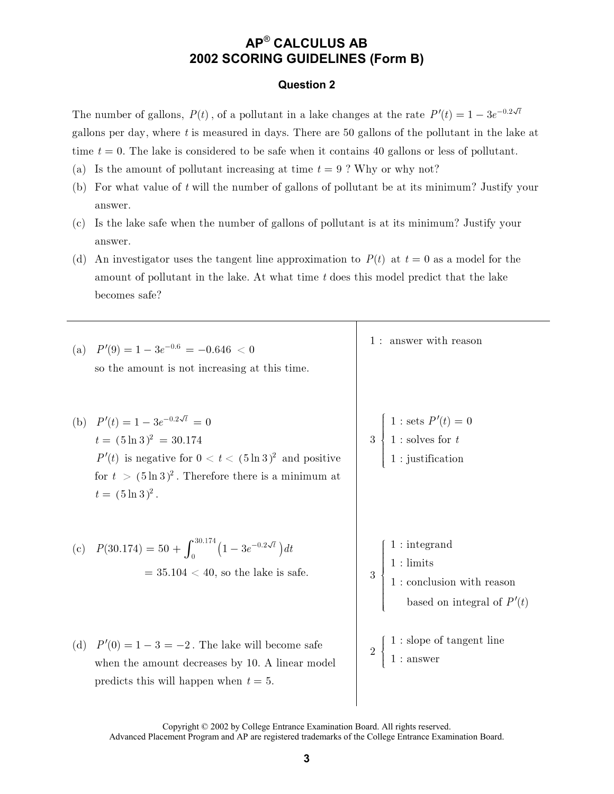# AP® CALCULUS AB 2002 SCORING GUIDELINES (Form B)

#### **Question 2**

The number of gallons,  $P(t)$ , of a pollutant in a lake changes at the rate  $P'(t) = 1 - 3e^{-0.2\sqrt{t}}$ gallons per day, where  $t$  is measured in days. There are 50 gallons of the pollutant in the lake at time  $t = 0$ . The lake is considered to be safe when it contains 40 gallons or less of pollutant.

- (a) Is the amount of pollutant increasing at time  $t = 9$ ? Why or why not?
- (b) For what value of  $t$  will the number of gallons of pollutant be at its minimum? Justify your answer.
- (c) Is the lake safe when the number of gallons of pollutant is at its minimum? Justify your answer.
- (d) An investigator uses the tangent line approximation to  $P(t)$  at  $t = 0$  as a model for the amount of pollutant in the lake. At what time t does this model predict that the lake becomes safe?

| (a) | $P'(9) = 1 - 3e^{-0.6} = -0.646 < 0$<br>so the amount is not increasing at this time.                                                                                                                                 | 1 : answer with reason                                                                                                       |
|-----|-----------------------------------------------------------------------------------------------------------------------------------------------------------------------------------------------------------------------|------------------------------------------------------------------------------------------------------------------------------|
|     | (b) $P'(t) = 1 - 3e^{-0.2\sqrt{t}} = 0$<br>$t = (5 \ln 3)^2 = 30.174$<br>$P'(t)$ is negative for $0 < t < (5 \ln 3)^2$ and positive<br>for $t > (5 \ln 3)^2$ . Therefore there is a minimum at<br>$t = (5 \ln 3)^2$ . | $3 \begin{cases} 1 : \text{sets } P'(t) = 0 \\ 1 : \text{ solves for } t \\ 1 : \text{justification} \end{cases}$            |
|     | (c) $P(30.174) = 50 + \int_0^{30.174} (1 - 3e^{-0.2\sqrt{t}}) dt$<br>$=$ 35.104 $<$ 40, so the lake is safe.                                                                                                          | $1:$ integrand<br>$1$ : limits $1$ : conclusion with reason $% \mathbb{R}$<br>$\overline{3}$<br>based on integral of $P'(t)$ |
| (d) | $P'(0) = 1 - 3 = -2$ . The lake will become safe<br>when the amount decreases by 10. A linear model<br>predicts this will happen when $t=5$ .                                                                         | $1$ : slope of tangent line $1$ : answer                                                                                     |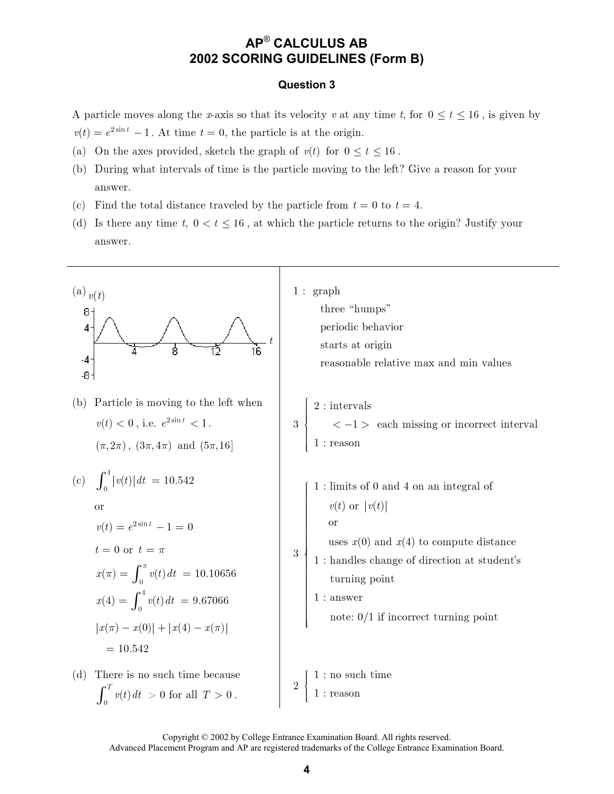### **AP**® **CALCULUS AB 2002 SCORING GUIDELINES (Form B)**

#### **Question 3**

A particle moves along the x-axis so that its velocity v at any time t, for  $0 \le t \le 16$ , is given by  $v(t) = e^{2\sin t} - 1$ . At time  $t = 0$ , the particle is at the origin.

- 
- (a) On the axes provided, sketch the graph of  $v(t)$  for  $0 \le t \le 16$ .
- (b) During what intervals of time is the particle moving to the left? Give a reason for your answer.
- (c) Find the total distance traveled by the particle from  $t = 0$  to  $t = 4$ .
- (d) Is there any time  $t, 0 < t \leq 16$ , at which the particle returns to the origin? Justify your answer.



Copyright © 2002 by College Entrance Examination Board. All rights reserved.

Advanced Placement Program and AP are registered trademarks of the College Entrance Examination Board.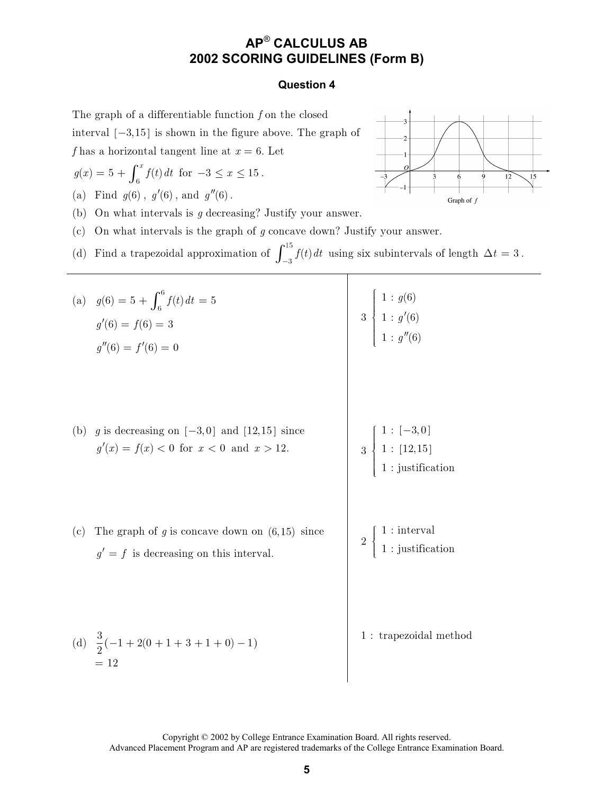### AP<sup>®</sup> CALCULUS AB 2002 SCORING GUIDELINES (Form B)

#### **Question 4**

The graph of a differentiable function  $f$  on the closed

interval  $[-3, 15]$  is shown in the figure above. The graph of

f has a horizontal tangent line at  $x = 6$ . Let

$$
g(x) = 5 + \int_6^x f(t) dt
$$
 for  $-3 \le x \le 15$ .

(a) Find  $g(6)$ ,  $g'(6)$ , and  $g''(6)$ .

(b) On what intervals is  $q$  decreasing? Justify your answer.

(c) On what intervals is the graph of  $g$  concave down? Justify your answer.

(d) Find a trapezoidal approximation of 
$$
\int_{-3}^{15} f(t) dt
$$
 using six subintervals of length  $\Delta t = 3$ .

|     | (a) $g(6) = 5 + \int_6^6 f(t) dt = 5$<br>$g'(6) = f(6) = 3$<br>$g''(6) = f'(6) = 0$              | $3\begin{array}{c} 1: g(6)\ 1: g'(6)\ 1: g''(6) \end{array}$                                                  |
|-----|--------------------------------------------------------------------------------------------------|---------------------------------------------------------------------------------------------------------------|
| (b) | g is decreasing on $[-3,0]$ and $[12,15]$ since<br>$g'(x) = f(x) < 0$ for $x < 0$ and $x > 12$ . | $3\;\left \begin{array}{c} 1:[-3,0] \\[0.2cm] 1:[12,15] \\[0.2cm] 1:[\mbox{usitification} \end{array}\right.$ |
| (c) | The graph of $g$ is concave down on $(6,15)$ since<br>$g' = f$ is decreasing on this interval.   | $2\begin{cases}1:$ interval<br>1 : justification                                                              |
|     | (d) $\frac{3}{2}(-1+2(0+1+3+1+0)-1)$<br>$= 12$                                                   | 1: trapezoidal method                                                                                         |



Graph of  $f$ 

 $12$ 

 $15$ 

Copyright © 2002 by College Entrance Examination Board. All rights reserved. Advanced Placement Program and AP are registered trademarks of the College Entrance Examination Board.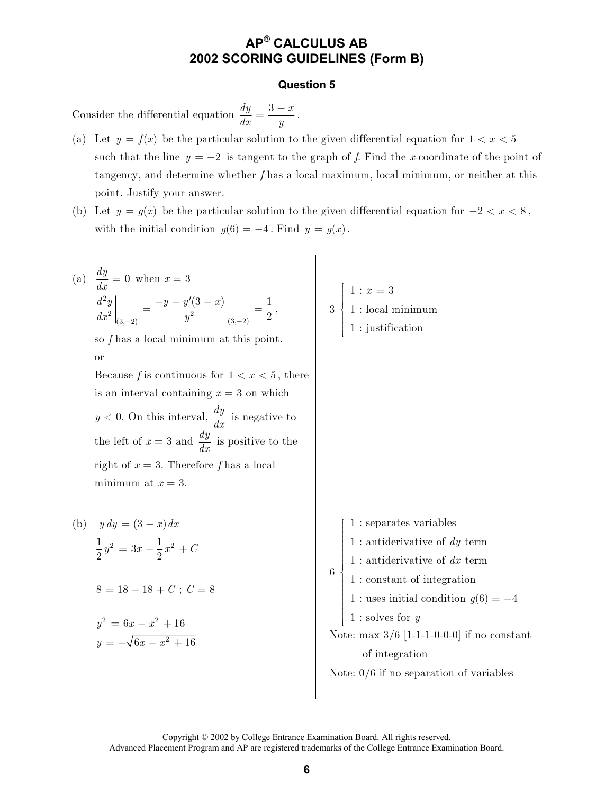### **AP**® **CALCULUS AB 2002 SCORING GUIDELINES (Form B)**

#### **Question 5**

Consider the differential equation  $\frac{dy}{dx} = \frac{3-x}{4}$  $dx = y$  $=\frac{3-x}{2}$ .

- (a) Let  $y = f(x)$  be the particular solution to the given differential equation for  $1 < x < 5$ such that the line  $y = -2$  is tangent to the graph of f. Find the x-coordinate of the point of tangency, and determine whether  $f$  has a local maximum, local minimum, or neither at this point. Justify your answer.
- (b) Let  $y = g(x)$  be the particular solution to the given differential equation for  $-2 < x < 8$ , with the initial condition  $g(6) = -4$ . Find  $y = g(x)$ .



Copyright © 2002 by College Entrance Examination Board. All rights reserved. Advanced Placement Program and AP are registered trademarks of the College Entrance Examination Board.